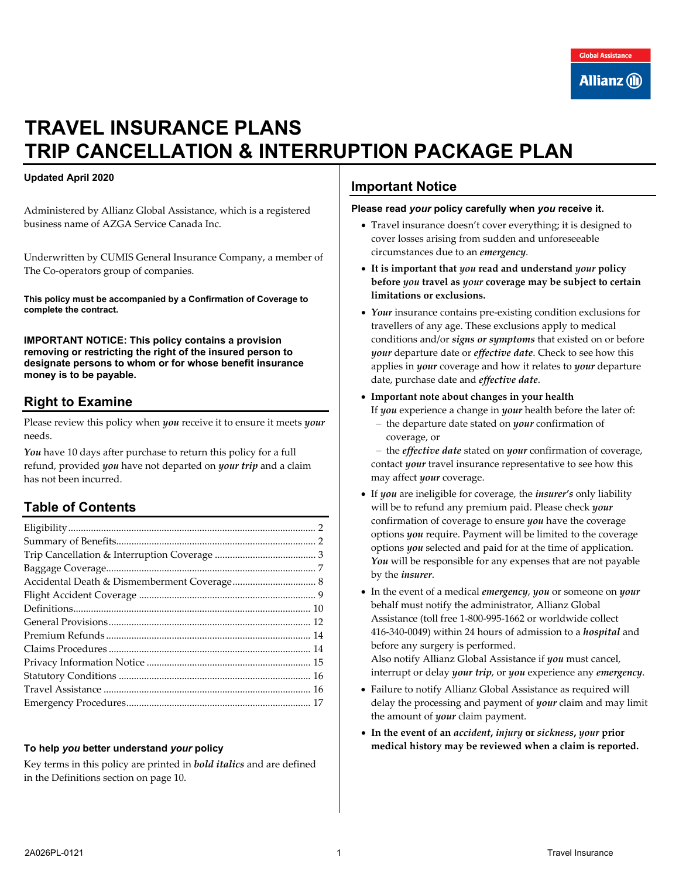# **TRAVEL INSURANCE PLANS TRIP CANCELLATION & INTERRUPTION PACKAGE PLAN**

#### **Updated April 2020**

Administered by Allianz Global Assistance, which is a registered business name of AZGA Service Canada Inc.

Underwritten by CUMIS General Insurance Company, a member of The Co-operators group of companies.

**This policy must be accompanied by a Confirmation of Coverage to complete the contract.** 

**IMPORTANT NOTICE: This policy contains a provision removing or restricting the right of the insured person to designate persons to whom or for whose benefit insurance money is to be payable.**

## **Right to Examine**

Please review this policy when *you* receive it to ensure it meets *your*  needs.

*You* have 10 days after purchase to return this policy for a full refund, provided *you* have not departed on *your trip* and a claim has not been incurred.

## **Table of Contents**

#### **To help** *you* **better understand** *your* **policy**

Key terms in this policy are printed in *bold italics* and are defined in the Definitions section on page [10.](#page-9-0)

## **Important Notice**

#### **Please read** *your* **policy carefully when** *you* **receive it.**

- Travel insurance doesn't cover everything; it is designed to cover losses arising from sudden and unforeseeable circumstances due to an *emergency*.
- **It is important that** *you* **read and understand** *your* **policy before** *you* **travel as** *your* **coverage may be subject to certain limitations or exclusions.**
- *Your* insurance contains pre-existing condition exclusions for travellers of any age. These exclusions apply to medical conditions and/or *signs or symptoms* that existed on or before *your* departure date or *effective date*. Check to see how this applies in *your* coverage and how it relates to *your* departure date, purchase date and *effective date*.
- **Important note about changes in your health**

If *you* experience a change in *your* health before the later of:

− the departure date stated on *your* confirmation of coverage, or

− the *effective date* stated on *your* confirmation of coverage, contact *your* travel insurance representative to see how this may affect *your* coverage.

- If *you* are ineligible for coverage, the *insurer's* only liability will be to refund any premium paid. Please check *your* confirmation of coverage to ensure *you* have the coverage options *you* require. Payment will be limited to the coverage options *you* selected and paid for at the time of application. You will be responsible for any expenses that are not payable by the *insurer*.
- In the event of a medical *emergency*, *you* or someone on *your* behalf must notify the administrator, Allianz Global Assistance (toll free 1-800-995-1662 or worldwide collect 416-340-0049) within 24 hours of admission to a *hospital* and before any surgery is performed. Also notify Allianz Global Assistance if *you* must cancel, interrupt or delay *your trip*, or *you* experience any *emergency*.
- Failure to notify Allianz Global Assistance as required will delay the processing and payment of *your* claim and may limit the amount of *your* claim payment.
- **In the event of an** *accident***,** *injury* **or** *sickness***,** *your* **prior medical history may be reviewed when a claim is reported.**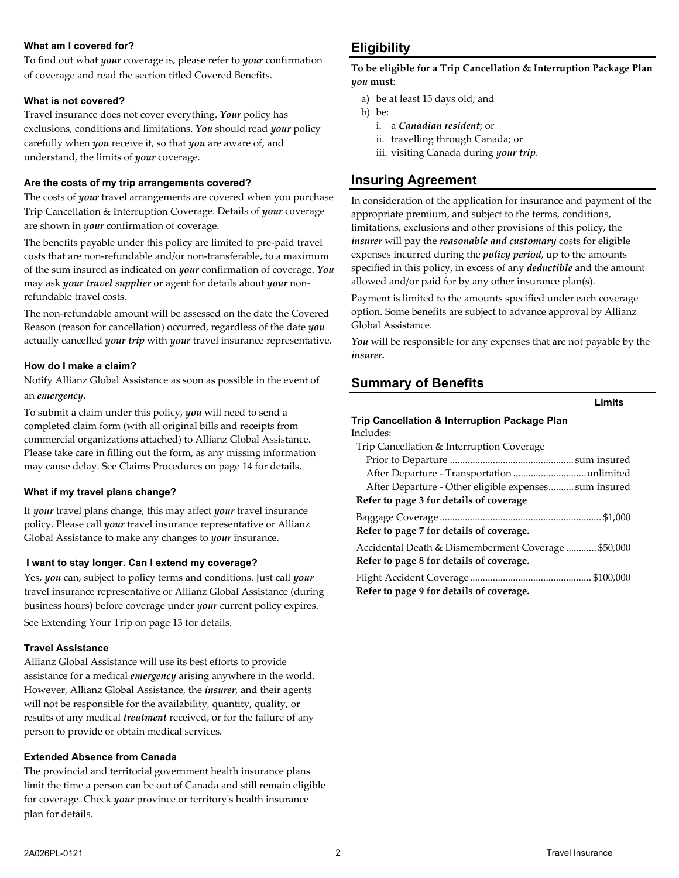#### **What am I covered for?**

To find out what *your* coverage is, please refer to *your* confirmation of coverage and read the section titled Covered Benefits.

#### **What is not covered?**

Travel insurance does not cover everything. *Your* policy has exclusions, conditions and limitations. *You* should read *your* policy carefully when *you* receive it, so that *you* are aware of, and understand, the limits of *your* coverage.

#### **Are the costs of my trip arrangements covered?**

The costs of *your* travel arrangements are covered when you purchase Trip Cancellation & Interruption Coverage. Details of *your* coverage are shown in *your* confirmation of coverage.

The benefits payable under this policy are limited to pre-paid travel costs that are non-refundable and/or non-transferable, to a maximum of the sum insured as indicated on *your* confirmation of coverage. *You* may ask *your travel supplier* or agent for details about *your* nonrefundable travel costs.

The non-refundable amount will be assessed on the date the Covered Reason (reason for cancellation) occurred, regardless of the date *you* actually cancelled *your trip* with *your* travel insurance representative.

#### **How do I make a claim?**

Notify Allianz Global Assistance as soon as possible in the event of an *emergency*.

To submit a claim under this policy, *you* will need to send a completed claim form (with all original bills and receipts from commercial organizations attached) to Allianz Global Assistance. Please take care in filling out the form, as any missing information may cause delay. See Claims Procedures on page [14](#page-13-1) for details.

#### **What if my travel plans change?**

If *your* travel plans change, this may affect *your* travel insurance policy. Please call *your* travel insurance representative or Allianz Global Assistance to make any changes to *your* insurance.

#### **I want to stay longer. Can I extend my coverage?**

Yes, *you* can, subject to policy terms and conditions. Just call *your* travel insurance representative or Allianz Global Assistance (during business hours) before coverage under *your* current policy expires. See Extending Your Trip on page [13](#page-12-0) for details.

#### **Travel Assistance**

Allianz Global Assistance will use its best efforts to provide assistance for a medical *emergency* arising anywhere in the world. However, Allianz Global Assistance, the *insurer*, and their agents will not be responsible for the availability, quantity, quality, or results of any medical *treatment* received, or for the failure of any person to provide or obtain medical services.

#### **Extended Absence from Canada**

The provincial and territorial government health insurance plans limit the time a person can be out of Canada and still remain eligible for coverage. Check *your* province or territory's health insurance plan for details.

# <span id="page-1-0"></span>**Eligibility**

**To be eligible for a Trip Cancellation & Interruption Package Plan**  *you* **must**:

- a) be at least 15 days old; and
- b) be:
	- i. a *Canadian resident*; or
	- ii. travelling through Canada; or
	- iii. visiting Canada during *your trip*.

## **Insuring Agreement**

In consideration of the application for insurance and payment of the appropriate premium, and subject to the terms, conditions, limitations, exclusions and other provisions of this policy, the *insurer* will pay the *reasonable and customary* costs for eligible expenses incurred during the *policy period*, up to the amounts specified in this policy, in excess of any *deductible* and the amount allowed and/or paid for by any other insurance plan(s).

Payment is limited to the amounts specified under each coverage option. Some benefits are subject to advance approval by Allianz Global Assistance.

*You* will be responsible for any expenses that are not payable by the *insurer.*

## <span id="page-1-1"></span>**Summary of Benefits**

| Limits                                                |
|-------------------------------------------------------|
| Trip Cancellation & Interruption Package Plan         |
| Includes:                                             |
| Trip Cancellation & Interruption Coverage             |
|                                                       |
| After Departure - Transportation unlimited            |
| After Departure - Other eligible expenses sum insured |
| Refer to page 3 for details of coverage               |
|                                                       |
| Refer to page 7 for details of coverage.              |
| Accidental Death & Dismemberment Coverage  \$50,000   |
| Refer to page 8 for details of coverage.              |
|                                                       |
| Refer to page 9 for details of coverage.              |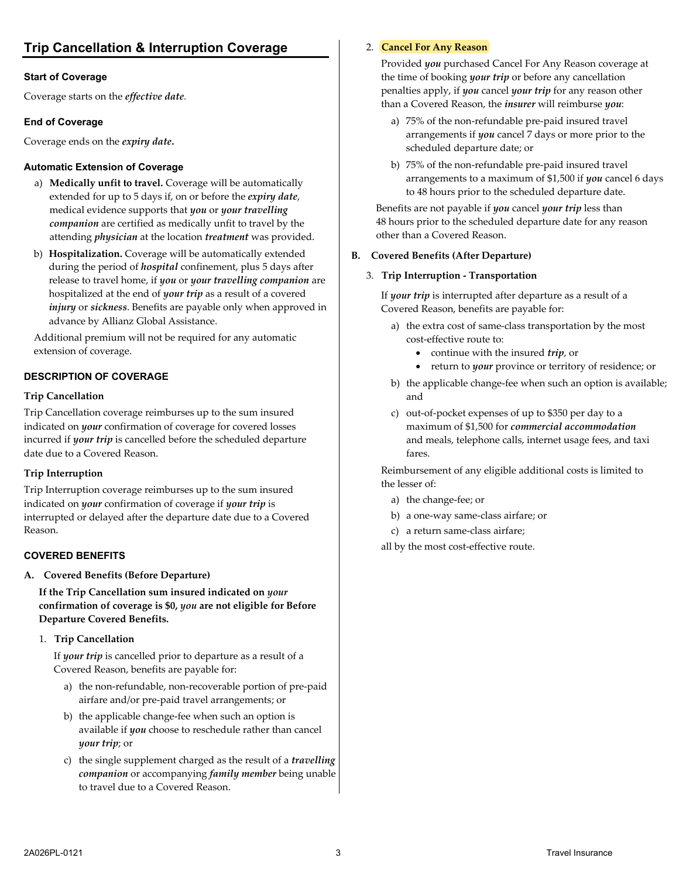#### <span id="page-2-0"></span>**Start of Coverage**

Coverage starts on the *effective date.* 

#### **End of Coverage**

Coverage ends on the *expiry date***.** 

#### **Automatic Extension of Coverage**

- a) **Medically unfit to travel.** Coverage will be automatically extended for up to 5 days if, on or before the *expiry date*, medical evidence supports that *you* or *your travelling companion* are certified as medically unfit to travel by the attending *physician* at the location *treatment* was provided.
- b) **Hospitalization.** Coverage will be automatically extended during the period of *hospital* confinement, plus 5 days after release to travel home, if *you* or *your travelling companion* are hospitalized at the end of *your trip* as a result of a covered *injury* or *sickness*. Benefits are payable only when approved in advance by Allianz Global Assistance.

Additional premium will not be required for any automatic extension of coverage.

#### **DESCRIPTION OF COVERAGE**

#### **Trip Cancellation**

Trip Cancellation coverage reimburses up to the sum insured indicated on *your* confirmation of coverage for covered losses incurred if *your trip* is cancelled before the scheduled departure date due to a Covered Reason.

#### **Trip Interruption**

Trip Interruption coverage reimburses up to the sum insured indicated on *your* confirmation of coverage if *your trip* is interrupted or delayed after the departure date due to a Covered Reason.

#### **COVERED BENEFITS**

**A. Covered Benefits (Before Departure)**

**If the Trip Cancellation sum insured indicated on** *your* **confirmation of coverage is \$0,** *you* **are not eligible for Before Departure Covered Benefits.**

1. **Trip Cancellation**

If *your trip* is cancelled prior to departure as a result of a Covered Reason, benefits are payable for:

- a) the non-refundable, non-recoverable portion of pre-paid airfare and/or pre-paid travel arrangements; or
- b) the applicable change-fee when such an option is available if *you* choose to reschedule rather than cancel *your trip*; or
- c) the single supplement charged as the result of a *travelling companion* or accompanying *family member* being unable to travel due to a Covered Reason.

#### 2. **Cancel For Any Reason**

Provided *you* purchased Cancel For Any Reason coverage at the time of booking *your trip* or before any cancellation penalties apply, if *you* cancel *your trip* for any reason other than a Covered Reason, the *insurer* will reimburse *you*:

- a) 75% of the non-refundable pre-paid insured travel arrangements if *you* cancel 7 days or more prior to the scheduled departure date; or
- b) 75% of the non-refundable pre-paid insured travel arrangements to a maximum of \$1,500 if *you* cancel 6 days to 48 hours prior to the scheduled departure date.

Benefits are not payable if *you* cancel *your trip* less than 48 hours prior to the scheduled departure date for any reason other than a Covered Reason.

#### **B. Covered Benefits (After Departure)**

#### 3. **Trip Interruption - Transportation**

If *your trip* is interrupted after departure as a result of a Covered Reason, benefits are payable for:

- a) the extra cost of same-class transportation by the most cost-effective route to:
	- continue with the insured *trip*, or
	- return to *your* province or territory of residence; or
- b) the applicable change-fee when such an option is available; and
- c) out-of-pocket expenses of up to \$350 per day to a maximum of \$1,500 for *commercial accommodation* and meals, telephone calls, internet usage fees, and taxi fares.

Reimbursement of any eligible additional costs is limited to the lesser of:

- a) the change-fee; or
- b) a one-way same-class airfare; or
- c) a return same-class airfare;
- all by the most cost-effective route.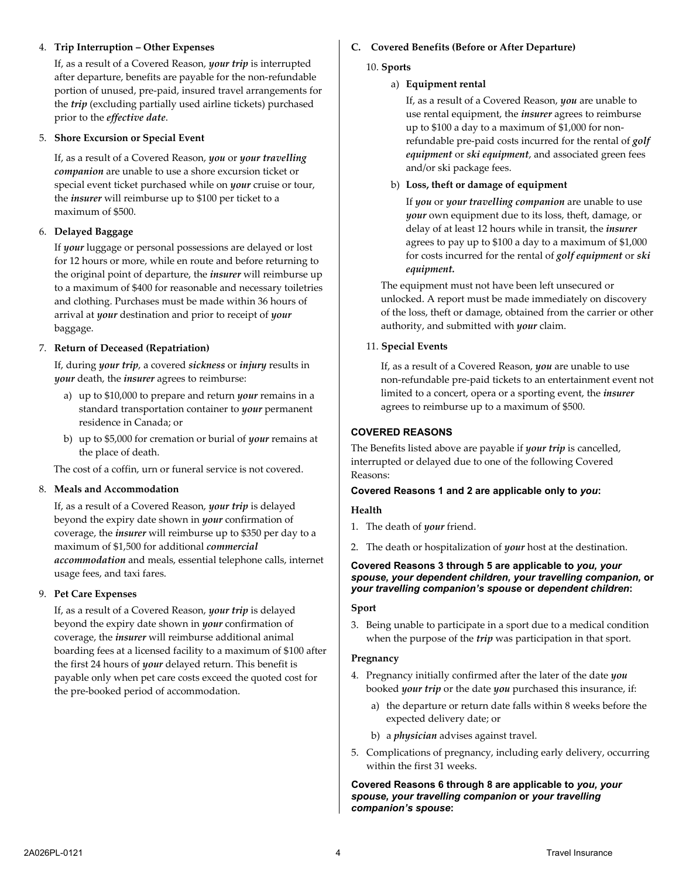#### 4. **Trip Interruption – Other Expenses**

If, as a result of a Covered Reason, *your trip* is interrupted after departure, benefits are payable for the non-refundable portion of unused, pre-paid, insured travel arrangements for the *trip* (excluding partially used airline tickets) purchased prior to the *effective date*.

#### 5. **Shore Excursion or Special Event**

If, as a result of a Covered Reason, *you* or *your travelling companion* are unable to use a shore excursion ticket or special event ticket purchased while on *your* cruise or tour, the *insurer* will reimburse up to \$100 per ticket to a maximum of \$500.

#### 6. **Delayed Baggage**

If *your* luggage or personal possessions are delayed or lost for 12 hours or more, while en route and before returning to the original point of departure, the *insurer* will reimburse up to a maximum of \$400 for reasonable and necessary toiletries and clothing. Purchases must be made within 36 hours of arrival at *your* destination and prior to receipt of *your* baggage.

#### 7. **Return of Deceased (Repatriation)**

If, during *your trip*, a covered *sickness* or *injury* results in *your* death, the *insurer* agrees to reimburse:

- a) up to \$10,000 to prepare and return *your* remains in a standard transportation container to *your* permanent residence in Canada; or
- b) up to \$5,000 for cremation or burial of *your* remains at the place of death.

The cost of a coffin, urn or funeral service is not covered.

#### 8. **Meals and Accommodation**

If, as a result of a Covered Reason, *your trip* is delayed beyond the expiry date shown in *your* confirmation of coverage, the *insurer* will reimburse up to \$350 per day to a maximum of \$1,500 for additional *commercial accommodation* and meals, essential telephone calls, internet usage fees, and taxi fares.

#### 9. **Pet Care Expenses**

If, as a result of a Covered Reason, *your trip* is delayed beyond the expiry date shown in *your* confirmation of coverage, the *insurer* will reimburse additional animal boarding fees at a licensed facility to a maximum of \$100 after the first 24 hours of *your* delayed return. This benefit is payable only when pet care costs exceed the quoted cost for the pre-booked period of accommodation.

## **C. Covered Benefits (Before or After Departure)**

#### 10. **Sports**

#### a) **Equipment rental**

If, as a result of a Covered Reason, *you* are unable to use rental equipment, the *insurer* agrees to reimburse up to \$100 a day to a maximum of \$1,000 for nonrefundable pre-paid costs incurred for the rental of *golf equipment* or *ski equipment*, and associated green fees and/or ski package fees.

#### b) **Loss, theft or damage of equipment**

If *you* or *your travelling companion* are unable to use *your* own equipment due to its loss, theft, damage, or delay of at least 12 hours while in transit, the *insurer* agrees to pay up to \$100 a day to a maximum of \$1,000 for costs incurred for the rental of *golf equipment* or *ski equipment.*

The equipment must not have been left unsecured or unlocked. A report must be made immediately on discovery of the loss, theft or damage, obtained from the carrier or other authority, and submitted with *your* claim.

#### 11. **Special Events**

If, as a result of a Covered Reason, *you* are unable to use non-refundable pre-paid tickets to an entertainment event not limited to a concert, opera or a sporting event, the *insurer* agrees to reimburse up to a maximum of \$500.

#### **COVERED REASONS**

The Benefits listed above are payable if *your trip* is cancelled, interrupted or delayed due to one of the following Covered Reasons:

#### **Covered Reasons 1 and 2 are applicable only to** *you***:**

#### **Health**

- 1. The death of *your* friend.
- 2. The death or hospitalization of *your* host at the destination.

#### **Covered Reasons 3 through 5 are applicable to** *you, your spouse, your dependent children, your travelling companion,* **or** *your travelling companion's spouse* **or** *dependent children***:**

#### **Sport**

3. Being unable to participate in a sport due to a medical condition when the purpose of the *trip* was participation in that sport.

#### **Pregnancy**

- 4. Pregnancy initially confirmed after the later of the date *you* booked *your trip* or the date *you* purchased this insurance, if:
	- a) the departure or return date falls within 8 weeks before the expected delivery date; or
	- b) a *physician* advises against travel.
- 5. Complications of pregnancy, including early delivery, occurring within the first 31 weeks.

#### **Covered Reasons 6 through 8 are applicable to** *you, your spouse, your travelling companion* **or** *your travelling companion's spouse***:**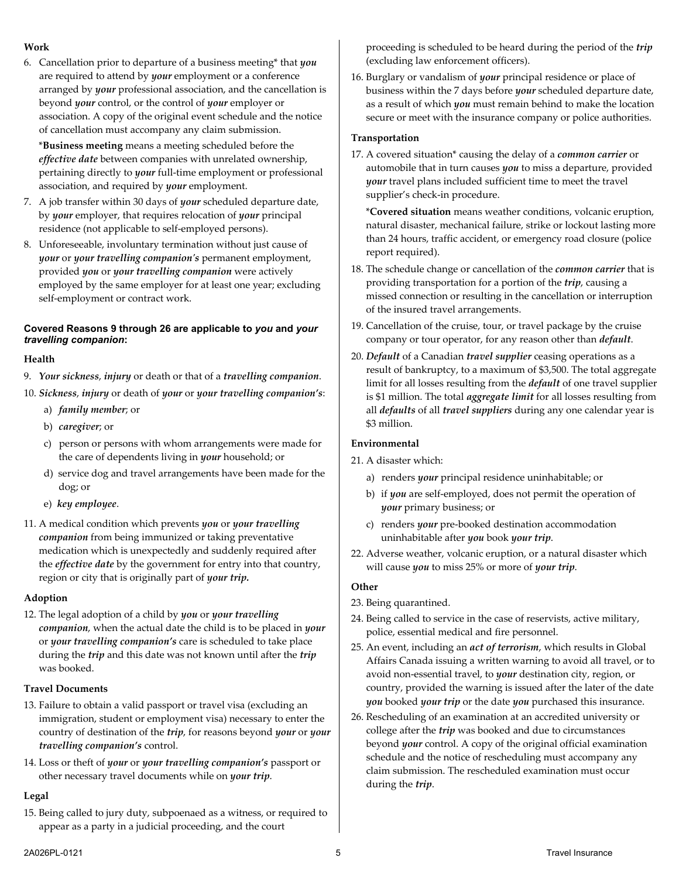#### **Work**

6. Cancellation prior to departure of a business meeting\* that *you* are required to attend by *your* employment or a conference arranged by *your* professional association, and the cancellation is beyond *your* control, or the control of *your* employer or association. A copy of the original event schedule and the notice of cancellation must accompany any claim submission.

\***Business meeting** means a meeting scheduled before the *effective date* between companies with unrelated ownership, pertaining directly to *your* full-time employment or professional association, and required by *your* employment.

- 7. A job transfer within 30 days of *your* scheduled departure date, by *your* employer, that requires relocation of *your* principal residence (not applicable to self-employed persons).
- 8. Unforeseeable, involuntary termination without just cause of *your* or *your travelling companion's* permanent employment, provided *you* or *your travelling companion* were actively employed by the same employer for at least one year; excluding self-employment or contract work.

#### **Covered Reasons 9 through 26 are applicable to** *you* **and** *your travelling companion***:**

#### **Health**

- 9. *Your sickness*, *injury* or death or that of a *travelling companion*.
- 10. *Sickness*, *injury* or death of *your* or *your travelling companion's*:
	- a) *family member*; or
	- b) *caregiver*; or
	- c) person or persons with whom arrangements were made for the care of dependents living in *your* household; or
	- d) service dog and travel arrangements have been made for the dog; or
	- e) *key employee*.
- 11. A medical condition which prevents *you* or *your travelling companion* from being immunized or taking preventative medication which is unexpectedly and suddenly required after the *effective date* by the government for entry into that country, region or city that is originally part of *your trip.*

#### **Adoption**

12. The legal adoption of a child by *you* or *your travelling companion*, when the actual date the child is to be placed in *your* or *your travelling companion's* care is scheduled to take place during the *trip* and this date was not known until after the *trip* was booked.

#### **Travel Documents**

- 13. Failure to obtain a valid passport or travel visa (excluding an immigration, student or employment visa) necessary to enter the country of destination of the *trip*, for reasons beyond *your* or *your travelling companion's* control.
- 14. Loss or theft of *your* or *your travelling companion's* passport or other necessary travel documents while on *your trip*.

#### **Legal**

15. Being called to jury duty, subpoenaed as a witness, or required to appear as a party in a judicial proceeding, and the court

proceeding is scheduled to be heard during the period of the *trip* (excluding law enforcement officers).

16. Burglary or vandalism of *your* principal residence or place of business within the 7 days before *your* scheduled departure date, as a result of which *you* must remain behind to make the location secure or meet with the insurance company or police authorities.

#### **Transportation**

17. A covered situation\* causing the delay of a *common carrier* or automobile that in turn causes *you* to miss a departure, provided *your* travel plans included sufficient time to meet the travel supplier's check-in procedure.

\***Covered situation** means weather conditions, volcanic eruption, natural disaster, mechanical failure, strike or lockout lasting more than 24 hours, traffic accident, or emergency road closure (police report required).

- 18. The schedule change or cancellation of the *common carrier* that is providing transportation for a portion of the *trip*, causing a missed connection or resulting in the cancellation or interruption of the insured travel arrangements.
- 19. Cancellation of the cruise, tour, or travel package by the cruise company or tour operator, for any reason other than *default*.
- 20. *Default* of a Canadian *travel supplier* ceasing operations as a result of bankruptcy, to a maximum of \$3,500. The total aggregate limit for all losses resulting from the *default* of one travel supplier is \$1 million. The total *aggregate limit* for all losses resulting from all *defaults* of all *travel suppliers* during any one calendar year is \$3 million.

#### **Environmental**

- 21. A disaster which:
	- a) renders *your* principal residence uninhabitable; or
	- b) if *you* are self-employed, does not permit the operation of *your* primary business; or
	- c) renders *your* pre-booked destination accommodation uninhabitable after *you* book *your trip*.
- 22. Adverse weather, volcanic eruption, or a natural disaster which will cause *you* to miss 25% or more of *your trip*.

#### **Other**

- 23. Being quarantined.
- 24. Being called to service in the case of reservists, active military, police, essential medical and fire personnel.
- 25. An event, including an *act of terrorism*, which results in Global Affairs Canada issuing a written warning to avoid all travel, or to avoid non-essential travel, to *your* destination city, region, or country, provided the warning is issued after the later of the date *you* booked *your trip* or the date *you* purchased this insurance.
- 26. Rescheduling of an examination at an accredited university or college after the *trip* was booked and due to circumstances beyond *your* control. A copy of the original official examination schedule and the notice of rescheduling must accompany any claim submission. The rescheduled examination must occur during the *trip*.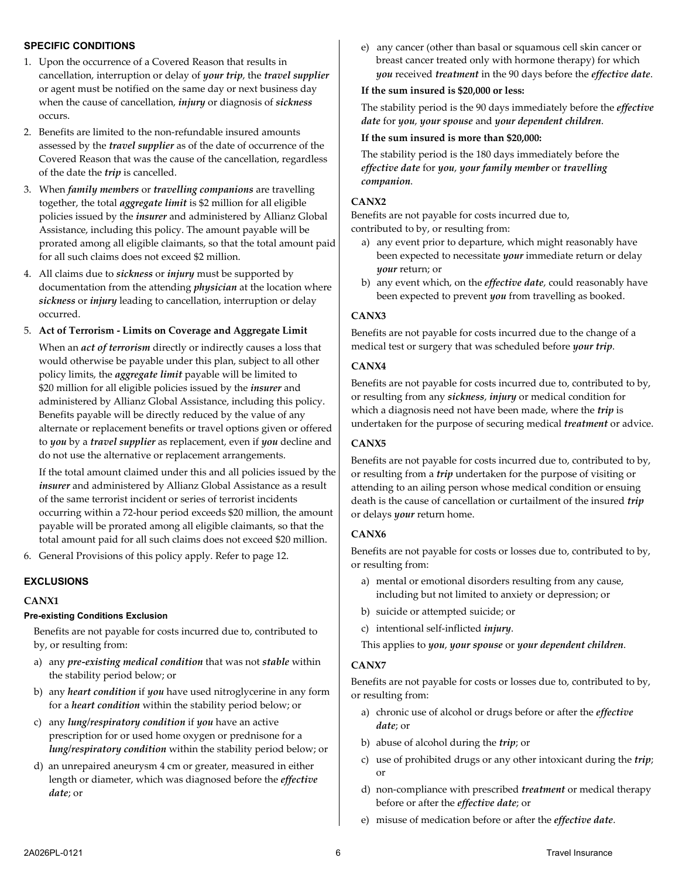#### **SPECIFIC CONDITIONS**

- 1. Upon the occurrence of a Covered Reason that results in cancellation, interruption or delay of *your trip*, the *travel supplier* or agent must be notified on the same day or next business day when the cause of cancellation, *injury* or diagnosis of *sickness* occurs.
- 2. Benefits are limited to the non-refundable insured amounts assessed by the *travel supplier* as of the date of occurrence of the Covered Reason that was the cause of the cancellation, regardless of the date the *trip* is cancelled.
- 3. When *family members* or *travelling companions* are travelling together, the total *aggregate limit* is \$2 million for all eligible policies issued by the *insurer* and administered by Allianz Global Assistance, including this policy. The amount payable will be prorated among all eligible claimants, so that the total amount paid for all such claims does not exceed \$2 million.
- 4. All claims due to *sickness* or *injury* must be supported by documentation from the attending *physician* at the location where *sickness* or *injury* leading to cancellation, interruption or delay occurred.

#### 5. **Act of Terrorism - Limits on Coverage and Aggregate Limit**

When an *act of terrorism* directly or indirectly causes a loss that would otherwise be payable under this plan, subject to all other policy limits, the *aggregate limit* payable will be limited to \$20 million for all eligible policies issued by the *insurer* and administered by Allianz Global Assistance, including this policy. Benefits payable will be directly reduced by the value of any alternate or replacement benefits or travel options given or offered to *you* by a *travel supplier* as replacement, even if *you* decline and do not use the alternative or replacement arrangements.

If the total amount claimed under this and all policies issued by the *insurer* and administered by Allianz Global Assistance as a result of the same terrorist incident or series of terrorist incidents occurring within a 72-hour period exceeds \$20 million, the amount payable will be prorated among all eligible claimants, so that the total amount paid for all such claims does not exceed \$20 million.

6. General Provisions of this policy apply. Refer to pag[e 12.](#page-11-0)

#### **EXCLUSIONS**

#### **CANX1**

#### **Pre-existing Conditions Exclusion**

Benefits are not payable for costs incurred due to, contributed to by, or resulting from:

- a) any *pre-existing medical condition* that was not *stable* within the stability period below; or
- b) any *heart condition* if *you* have used nitroglycerine in any form for a *heart condition* within the stability period below; or
- c) any *lung/respiratory condition* if *you* have an active prescription for or used home oxygen or prednisone for a *lung/respiratory condition* within the stability period below; or
- d) an unrepaired aneurysm 4 cm or greater, measured in either length or diameter, which was diagnosed before the *effective date*; or

e) any cancer (other than basal or squamous cell skin cancer or breast cancer treated only with hormone therapy) for which *you* received *treatment* in the 90 days before the *effective date*.

#### **If the sum insured is \$20,000 or less:**

The stability period is the 90 days immediately before the *effective date* for *you*, *your spouse* and *your dependent children*.

#### **If the sum insured is more than \$20,000:**

The stability period is the 180 days immediately before the *effective date* for *you*, *your family member* or *travelling companion*.

#### **CANX2**

Benefits are not payable for costs incurred due to, contributed to by, or resulting from:

- a) any event prior to departure, which might reasonably have been expected to necessitate *your* immediate return or delay *your* return; or
- b) any event which, on the *effective date*, could reasonably have been expected to prevent *you* from travelling as booked.

#### **CANX3**

Benefits are not payable for costs incurred due to the change of a medical test or surgery that was scheduled before *your trip*.

#### **CANX4**

Benefits are not payable for costs incurred due to, contributed to by, or resulting from any *sickness*, *injury* or medical condition for which a diagnosis need not have been made, where the *trip* is undertaken for the purpose of securing medical *treatment* or advice.

#### **CANX5**

Benefits are not payable for costs incurred due to, contributed to by, or resulting from a *trip* undertaken for the purpose of visiting or attending to an ailing person whose medical condition or ensuing death is the cause of cancellation or curtailment of the insured *trip*  or delays *your* return home.

#### **CANX6**

Benefits are not payable for costs or losses due to, contributed to by, or resulting from:

- a) mental or emotional disorders resulting from any cause, including but not limited to anxiety or depression; or
- b) suicide or attempted suicide; or
- c) intentional self-inflicted *injury*.

This applies to *you*, *your spouse* or *your dependent children*.

#### **CANX7**

Benefits are not payable for costs or losses due to, contributed to by, or resulting from:

- a) chronic use of alcohol or drugs before or after the *effective date*; or
- b) abuse of alcohol during the *trip*; or
- c) use of prohibited drugs or any other intoxicant during the *trip*; or
- d) non-compliance with prescribed *treatment* or medical therapy before or after the *effective date*; or
- e) misuse of medication before or after the *effective date*.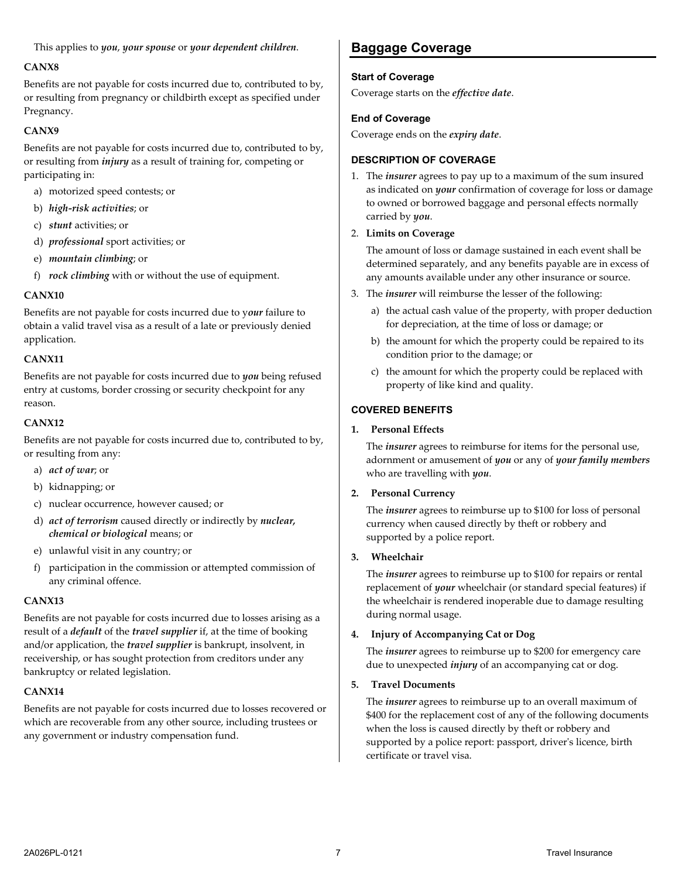This applies to *you*, *your spouse* or *your dependent children*.

#### **CANX8**

Benefits are not payable for costs incurred due to, contributed to by, or resulting from pregnancy or childbirth except as specified under Pregnancy.

#### **CANX9**

Benefits are not payable for costs incurred due to, contributed to by, or resulting from *injury* as a result of training for, competing or participating in:

- a) motorized speed contests; or
- b) *high-risk activities*; or
- c) *stunt* activities; or
- d) *professional* sport activities; or
- e) *mountain climbing*; or
- f) *rock climbing* with or without the use of equipment.

#### **CANX10**

Benefits are not payable for costs incurred due to y*our* failure to obtain a valid travel visa as a result of a late or previously denied application.

#### **CANX11**

Benefits are not payable for costs incurred due to *you* being refused entry at customs, border crossing or security checkpoint for any reason.

#### **CANX12**

Benefits are not payable for costs incurred due to, contributed to by, or resulting from any:

- a) *act of war*; or
- b) kidnapping; or
- c) nuclear occurrence, however caused; or
- d) *act of terrorism* caused directly or indirectly by *nuclear, chemical or biological* means; or
- e) unlawful visit in any country; or
- f) participation in the commission or attempted commission of any criminal offence.

#### **CANX13**

Benefits are not payable for costs incurred due to losses arising as a result of a *default* of the *travel supplier* if, at the time of booking and/or application, the *travel supplier* is bankrupt, insolvent, in receivership, or has sought protection from creditors under any bankruptcy or related legislation.

#### **CANX14**

Benefits are not payable for costs incurred due to losses recovered or which are recoverable from any other source, including trustees or any government or industry compensation fund.

# <span id="page-6-0"></span>**Baggage Coverage**

#### **Start of Coverage**

Coverage starts on the *effective date*.

#### **End of Coverage**

Coverage ends on the *expiry date*.

#### **DESCRIPTION OF COVERAGE**

1. The *insurer* agrees to pay up to a maximum of the sum insured as indicated on *your* confirmation of coverage for loss or damage to owned or borrowed baggage and personal effects normally carried by *you*.

#### 2. **Limits on Coverage**

The amount of loss or damage sustained in each event shall be determined separately, and any benefits payable are in excess of any amounts available under any other insurance or source.

- 3. The *insurer* will reimburse the lesser of the following:
	- a) the actual cash value of the property, with proper deduction for depreciation, at the time of loss or damage; or
	- b) the amount for which the property could be repaired to its condition prior to the damage; or
	- c) the amount for which the property could be replaced with property of like kind and quality.

# **COVERED BENEFITS**

#### **1. Personal Effects**

The *insurer* agrees to reimburse for items for the personal use, adornment or amusement of *you* or any of *your family members* who are travelling with *you*.

#### **2. Personal Currency**

The *insurer* agrees to reimburse up to \$100 for loss of personal currency when caused directly by theft or robbery and supported by a police report.

#### **3. Wheelchair**

The *insurer* agrees to reimburse up to \$100 for repairs or rental replacement of *your* wheelchair (or standard special features) if the wheelchair is rendered inoperable due to damage resulting during normal usage.

#### **4. Injury of Accompanying Cat or Dog**

The *insurer* agrees to reimburse up to \$200 for emergency care due to unexpected *injury* of an accompanying cat or dog.

#### **5. Travel Documents**

The *insurer* agrees to reimburse up to an overall maximum of \$400 for the replacement cost of any of the following documents when the loss is caused directly by theft or robbery and supported by a police report: passport, driver's licence, birth certificate or travel visa.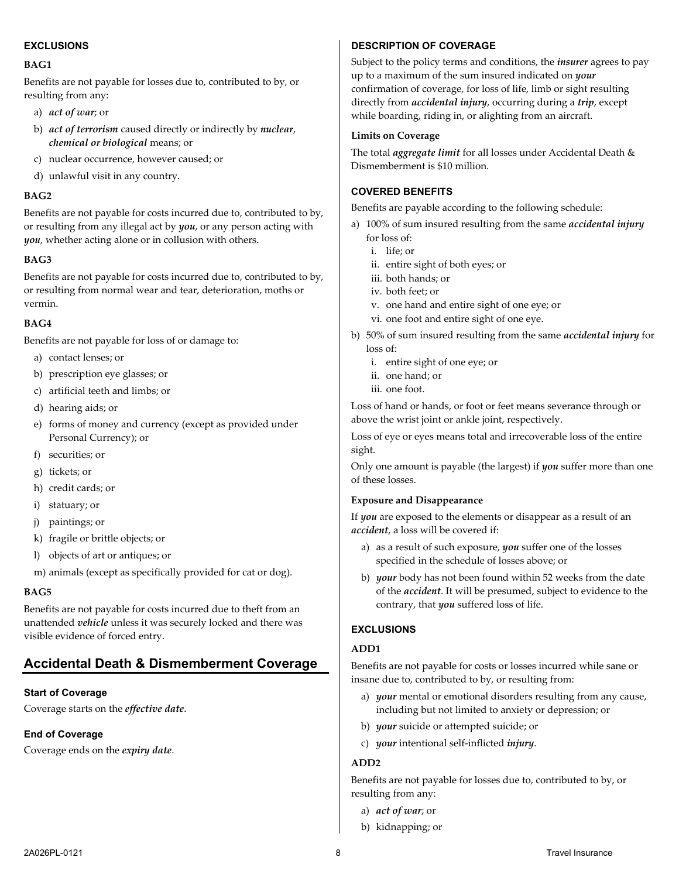#### **EXCLUSIONS**

#### **BAG1**

Benefits are not payable for losses due to, contributed to by, or resulting from any:

- a) *act of war*; or
- b) *act of terrorism* caused directly or indirectly by *nuclear*, *chemical or biological* means; or
- c) nuclear occurrence, however caused; or
- d) unlawful visit in any country.

#### **BAG2**

Benefits are not payable for costs incurred due to, contributed to by, or resulting from any illegal act by *you*, or any person acting with *you*, whether acting alone or in collusion with others.

#### **BAG3**

Benefits are not payable for costs incurred due to, contributed to by, or resulting from normal wear and tear, deterioration, moths or vermin.

#### **BAG4**

Benefits are not payable for loss of or damage to:

- a) contact lenses; or
- b) prescription eye glasses; or
- c) artificial teeth and limbs; or
- d) hearing aids; or
- e) forms of money and currency (except as provided under Personal Currency); or
- f) securities; or
- g) tickets; or
- h) credit cards; or
- i) statuary; or
- j) paintings; or
- k) fragile or brittle objects; or
- l) objects of art or antiques; or
- m) animals (except as specifically provided for cat or dog).

#### **BAG5**

Benefits are not payable for costs incurred due to theft from an unattended *vehicle* unless it was securely locked and there was visible evidence of forced entry.

## <span id="page-7-0"></span>**Accidental Death & Dismemberment Coverage**

#### **Start of Coverage**

Coverage starts on the *effective date*.

#### **End of Coverage**

Coverage ends on the *expiry date*.

#### **DESCRIPTION OF COVERAGE**

Subject to the policy terms and conditions, the *insurer* agrees to pay up to a maximum of the sum insured indicated on *your* confirmation of coverage, for loss of life, limb or sight resulting directly from *accidental injury*, occurring during a *trip*, except while boarding, riding in, or alighting from an aircraft.

#### **Limits on Coverage**

The total *aggregate limit* for all losses under Accidental Death & Dismemberment is \$10 million.

#### **COVERED BENEFITS**

Benefits are payable according to the following schedule:

- a) 100% of sum insured resulting from the same *accidental injury* for loss of:
	- i. life; or
	- ii. entire sight of both eyes; or
	- iii. both hands; or
	- iv. both feet; or
	- v. one hand and entire sight of one eye; or
	- vi. one foot and entire sight of one eye.
- b) 50% of sum insured resulting from the same *accidental injury* for loss of:
	- i. entire sight of one eye; or
	- ii. one hand; or
	- iii. one foot.

Loss of hand or hands, or foot or feet means severance through or above the wrist joint or ankle joint, respectively.

Loss of eye or eyes means total and irrecoverable loss of the entire sight.

Only one amount is payable (the largest) if *you* suffer more than one of these losses.

#### **Exposure and Disappearance**

If *you* are exposed to the elements or disappear as a result of an *accident*, a loss will be covered if:

- a) as a result of such exposure, *you* suffer one of the losses specified in the schedule of losses above; or
- b) *your* body has not been found within 52 weeks from the date of the *accident*. It will be presumed, subject to evidence to the contrary, that *you* suffered loss of life.

#### **EXCLUSIONS**

#### **ADD1**

Benefits are not payable for costs or losses incurred while sane or insane due to, contributed to by, or resulting from:

- a) *your* mental or emotional disorders resulting from any cause, including but not limited to anxiety or depression; or
- b) *your* suicide or attempted suicide; or
- c) *your* intentional self-inflicted *injury*.

#### **ADD2**

Benefits are not payable for losses due to, contributed to by, or resulting from any:

- a) *act of war*; or
- b) kidnapping; or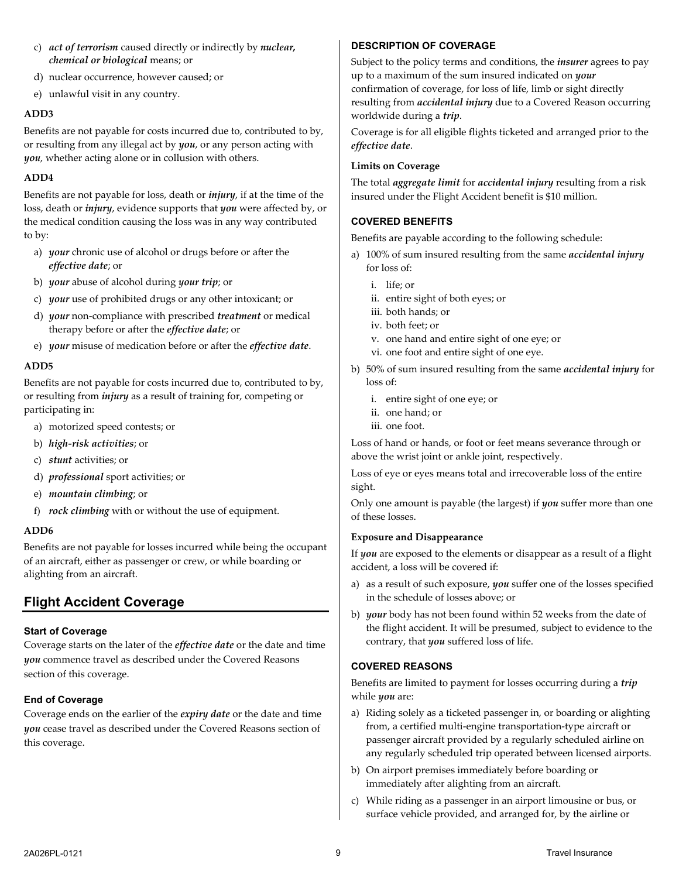- c) *act of terrorism* caused directly or indirectly by *nuclear, chemical or biological* means; or
- d) nuclear occurrence, however caused; or
- e) unlawful visit in any country.

#### **ADD3**

Benefits are not payable for costs incurred due to, contributed to by, or resulting from any illegal act by *you*, or any person acting with *you*, whether acting alone or in collusion with others.

#### **ADD4**

Benefits are not payable for loss, death or *injury*, if at the time of the loss, death or *injury*, evidence supports that *you* were affected by, or the medical condition causing the loss was in any way contributed to by:

- a) *your* chronic use of alcohol or drugs before or after the *effective date*; or
- b) *your* abuse of alcohol during *your trip*; or
- c) *your* use of prohibited drugs or any other intoxicant; or
- d) *your* non-compliance with prescribed *treatment* or medical therapy before or after the *effective date*; or
- e) *your* misuse of medication before or after the *effective date*.

## **ADD5**

Benefits are not payable for costs incurred due to, contributed to by, or resulting from *injury* as a result of training for, competing or participating in:

- a) motorized speed contests; or
- b) *high-risk activities*; or
- c) *stunt* activities; or
- d) *professional* sport activities; or
- e) *mountain climbing*; or
- f) *rock climbing* with or without the use of equipment.

#### **ADD6**

Benefits are not payable for losses incurred while being the occupant of an aircraft, either as passenger or crew, or while boarding or alighting from an aircraft.

# <span id="page-8-0"></span>**Flight Accident Coverage**

#### **Start of Coverage**

Coverage starts on the later of the *effective date* or the date and time *you* commence travel as described under the Covered Reasons section of this coverage.

#### **End of Coverage**

Coverage ends on the earlier of the *expiry date* or the date and time *you* cease travel as described under the Covered Reasons section of this coverage.

#### **DESCRIPTION OF COVERAGE**

Subject to the policy terms and conditions, the *insurer* agrees to pay up to a maximum of the sum insured indicated on *your* confirmation of coverage, for loss of life, limb or sight directly resulting from *accidental injury* due to a Covered Reason occurring worldwide during a *trip*.

Coverage is for all eligible flights ticketed and arranged prior to the *effective date*.

#### **Limits on Coverage**

The total *aggregate limit* for *accidental injury* resulting from a risk insured under the Flight Accident benefit is \$10 million.

## **COVERED BENEFITS**

Benefits are payable according to the following schedule:

- a) 100% of sum insured resulting from the same *accidental injury* for loss of:
	- i. life; or
	- ii. entire sight of both eyes; or
	- iii. both hands; or
	- iv. both feet; or
	- v. one hand and entire sight of one eye; or
	- vi. one foot and entire sight of one eye.
- b) 50% of sum insured resulting from the same *accidental injury* for loss of:
	- i. entire sight of one eye; or
	- ii. one hand; or
	- iii. one foot.

Loss of hand or hands, or foot or feet means severance through or above the wrist joint or ankle joint, respectively.

Loss of eye or eyes means total and irrecoverable loss of the entire sight.

Only one amount is payable (the largest) if *you* suffer more than one of these losses.

#### **Exposure and Disappearance**

If *you* are exposed to the elements or disappear as a result of a flight accident, a loss will be covered if:

- a) as a result of such exposure, *you* suffer one of the losses specified in the schedule of losses above; or
- b) *your* body has not been found within 52 weeks from the date of the flight accident. It will be presumed, subject to evidence to the contrary, that *you* suffered loss of life.

#### **COVERED REASONS**

Benefits are limited to payment for losses occurring during a *trip*  while *you* are:

- a) Riding solely as a ticketed passenger in, or boarding or alighting from, a certified multi-engine transportation-type aircraft or passenger aircraft provided by a regularly scheduled airline on any regularly scheduled trip operated between licensed airports.
- b) On airport premises immediately before boarding or immediately after alighting from an aircraft.
- c) While riding as a passenger in an airport limousine or bus, or surface vehicle provided, and arranged for, by the airline or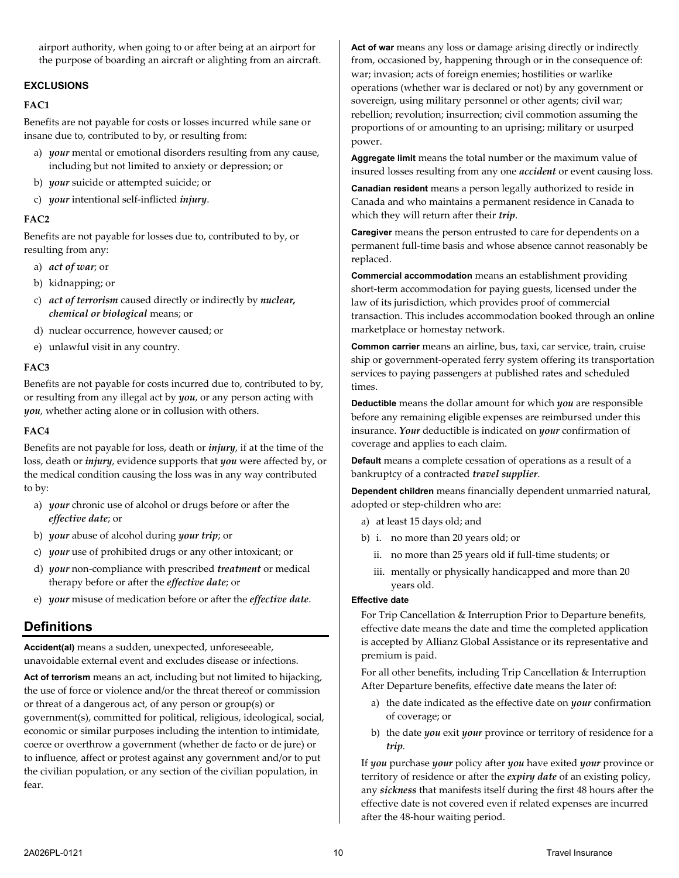airport authority, when going to or after being at an airport for the purpose of boarding an aircraft or alighting from an aircraft.

#### **EXCLUSIONS**

#### **FAC1**

Benefits are not payable for costs or losses incurred while sane or insane due to, contributed to by, or resulting from:

- a) *your* mental or emotional disorders resulting from any cause, including but not limited to anxiety or depression; or
- b) *your* suicide or attempted suicide; or
- c) *your* intentional self-inflicted *injury*.

#### **FAC2**

Benefits are not payable for losses due to, contributed to by, or resulting from any:

- a) *act of war*; or
- b) kidnapping; or
- c) *act of terrorism* caused directly or indirectly by *nuclear, chemical or biological* means; or
- d) nuclear occurrence, however caused; or
- e) unlawful visit in any country.

#### **FAC3**

Benefits are not payable for costs incurred due to, contributed to by, or resulting from any illegal act by *you*, or any person acting with *you*, whether acting alone or in collusion with others.

#### **FAC4**

Benefits are not payable for loss, death or *injury*, if at the time of the loss, death or *injury*, evidence supports that *you* were affected by, or the medical condition causing the loss was in any way contributed to by:

- a) *your* chronic use of alcohol or drugs before or after the *effective date*; or
- b) *your* abuse of alcohol during *your trip*; or
- c) *your* use of prohibited drugs or any other intoxicant; or
- d) *your* non-compliance with prescribed *treatment* or medical therapy before or after the *effective date*; or
- <span id="page-9-0"></span>e) *your* misuse of medication before or after the *effective date*.

# **Definitions**

**Accident(al)** means a sudden, unexpected, unforeseeable, unavoidable external event and excludes disease or infections.

**Act of terrorism** means an act, including but not limited to hijacking, the use of force or violence and/or the threat thereof or commission or threat of a dangerous act, of any person or group(s) or government(s), committed for political, religious, ideological, social, economic or similar purposes including the intention to intimidate, coerce or overthrow a government (whether de facto or de jure) or to influence, affect or protest against any government and/or to put the civilian population, or any section of the civilian population, in fear.

**Act of war** means any loss or damage arising directly or indirectly from, occasioned by, happening through or in the consequence of: war; invasion; acts of foreign enemies; hostilities or warlike operations (whether war is declared or not) by any government or sovereign, using military personnel or other agents; civil war; rebellion; revolution; insurrection; civil commotion assuming the proportions of or amounting to an uprising; military or usurped power.

**Aggregate limit** means the total number or the maximum value of insured losses resulting from any one *accident* or event causing loss.

**Canadian resident** means a person legally authorized to reside in Canada and who maintains a permanent residence in Canada to which they will return after their *trip*.

**Caregiver** means the person entrusted to care for dependents on a permanent full-time basis and whose absence cannot reasonably be replaced.

**Commercial accommodation** means an establishment providing short-term accommodation for paying guests, licensed under the law of its jurisdiction, which provides proof of commercial transaction. This includes accommodation booked through an online marketplace or homestay network.

**Common carrier** means an airline, bus, taxi, car service, train, cruise ship or government-operated ferry system offering its transportation services to paying passengers at published rates and scheduled times.

**Deductible** means the dollar amount for which *you* are responsible before any remaining eligible expenses are reimbursed under this insurance. *Your* deductible is indicated on *your* confirmation of coverage and applies to each claim.

**Default** means a complete cessation of operations as a result of a bankruptcy of a contracted *travel supplier*.

**Dependent children** means financially dependent unmarried natural, adopted or step-children who are:

- a) at least 15 days old; and
- b) i. no more than 20 years old; or
	- ii. no more than 25 years old if full-time students; or
	- iii. mentally or physically handicapped and more than 20 years old.

#### **Effective date**

For Trip Cancellation & Interruption Prior to Departure benefits, effective date means the date and time the completed application is accepted by Allianz Global Assistance or its representative and premium is paid.

For all other benefits, including Trip Cancellation & Interruption After Departure benefits, effective date means the later of:

- a) the date indicated as the effective date on *your* confirmation of coverage; or
- b) the date *you* exit *your* province or territory of residence for a *trip*.

If *you* purchase *your* policy after *you* have exited *your* province or territory of residence or after the *expiry date* of an existing policy, any *sickness* that manifests itself during the first 48 hours after the effective date is not covered even if related expenses are incurred after the 48-hour waiting period.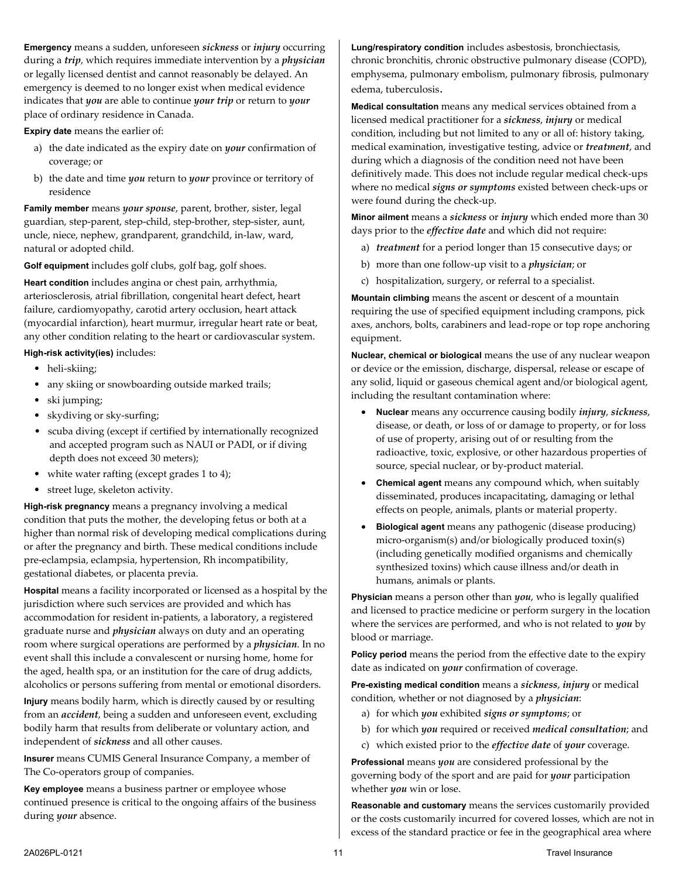**Emergency** means a sudden, unforeseen *sickness* or *injury* occurring during a *trip*, which requires immediate intervention by a *physician* or legally licensed dentist and cannot reasonably be delayed. An emergency is deemed to no longer exist when medical evidence indicates that *you* are able to continue *your trip* or return to *your* place of ordinary residence in Canada.

**Expiry date** means the earlier of:

- a) the date indicated as the expiry date on *your* confirmation of coverage; or
- b) the date and time *you* return to *your* province or territory of residence

**Family member** means *your spouse*, parent, brother, sister, legal guardian, step-parent, step-child, step-brother, step-sister, aunt, uncle, niece, nephew, grandparent, grandchild, in-law, ward, natural or adopted child.

**Golf equipment** includes golf clubs, golf bag, golf shoes.

**Heart condition** includes angina or chest pain, arrhythmia, arteriosclerosis, atrial fibrillation, congenital heart defect, heart failure, cardiomyopathy, carotid artery occlusion, heart attack (myocardial infarction), heart murmur, irregular heart rate or beat, any other condition relating to the heart or cardiovascular system.

**High-risk activity(ies)** includes:

- heli-skiing;
- any skiing or snowboarding outside marked trails;
- ski jumping;
- skydiving or sky-surfing;
- scuba diving (except if certified by internationally recognized and accepted program such as NAUI or PADI, or if diving depth does not exceed 30 meters);
- white water rafting (except grades 1 to 4);
- street luge, skeleton activity.

**High-risk pregnancy** means a pregnancy involving a medical condition that puts the mother, the developing fetus or both at a higher than normal risk of developing medical complications during or after the pregnancy and birth. These medical conditions include pre-eclampsia, eclampsia, hypertension, Rh incompatibility, gestational diabetes, or placenta previa.

**Hospital** means a facility incorporated or licensed as a hospital by the jurisdiction where such services are provided and which has accommodation for resident in-patients, a laboratory, a registered graduate nurse and *physician* always on duty and an operating room where surgical operations are performed by a *physician*. In no event shall this include a convalescent or nursing home, home for the aged, health spa, or an institution for the care of drug addicts, alcoholics or persons suffering from mental or emotional disorders.

**Injury** means bodily harm, which is directly caused by or resulting from an *accident*, being a sudden and unforeseen event, excluding bodily harm that results from deliberate or voluntary action, and independent of *sickness* and all other causes.

**Insurer** means CUMIS General Insurance Company, a member of The Co-operators group of companies.

**Key employee** means a business partner or employee whose continued presence is critical to the ongoing affairs of the business during *your* absence.

**Lung/respiratory condition** includes asbestosis, bronchiectasis, chronic bronchitis, chronic obstructive pulmonary disease (COPD), emphysema, pulmonary embolism, pulmonary fibrosis, pulmonary edema, tuberculosis.

**Medical consultation** means any medical services obtained from a licensed medical practitioner for a *sickness*, *injury* or medical condition, including but not limited to any or all of: history taking, medical examination, investigative testing, advice or *treatment*, and during which a diagnosis of the condition need not have been definitively made. This does not include regular medical check-ups where no medical *signs or symptoms* existed between check-ups or were found during the check-up.

**Minor ailment** means a *sickness* or *injury* which ended more than 30 days prior to the *effective date* and which did not require:

- a) *treatment* for a period longer than 15 consecutive days; or
- b) more than one follow-up visit to a *physician*; or
- c) hospitalization, surgery, or referral to a specialist.

**Mountain climbing** means the ascent or descent of a mountain requiring the use of specified equipment including crampons, pick axes, anchors, bolts, carabiners and lead-rope or top rope anchoring equipment.

**Nuclear, chemical or biological** means the use of any nuclear weapon or device or the emission, discharge, dispersal, release or escape of any solid, liquid or gaseous chemical agent and/or biological agent, including the resultant contamination where:

- **Nuclear** means any occurrence causing bodily *injury*, *sickness*, disease, or death, or loss of or damage to property, or for loss of use of property, arising out of or resulting from the radioactive, toxic, explosive, or other hazardous properties of source, special nuclear, or by-product material.
- **Chemical agent** means any compound which, when suitably disseminated, produces incapacitating, damaging or lethal effects on people, animals, plants or material property.
- **Biological agent** means any pathogenic (disease producing) micro-organism(s) and/or biologically produced toxin(s) (including genetically modified organisms and chemically synthesized toxins) which cause illness and/or death in humans, animals or plants.

**Physician** means a person other than *you*, who is legally qualified and licensed to practice medicine or perform surgery in the location where the services are performed, and who is not related to *you* by blood or marriage.

Policy period means the period from the effective date to the expiry date as indicated on *your* confirmation of coverage.

**Pre-existing medical condition** means a *sickness*, *injury* or medical condition, whether or not diagnosed by a *physician*:

- a) for which *you* exhibited *signs or symptoms*; or
- b) for which *you* required or received *medical consultation*; and
- c) which existed prior to the *effective date* of *your* coverage.

**Professional** means *you* are considered professional by the governing body of the sport and are paid for *your* participation whether *you* win or lose.

**Reasonable and customary** means the services customarily provided or the costs customarily incurred for covered losses, which are not in excess of the standard practice or fee in the geographical area where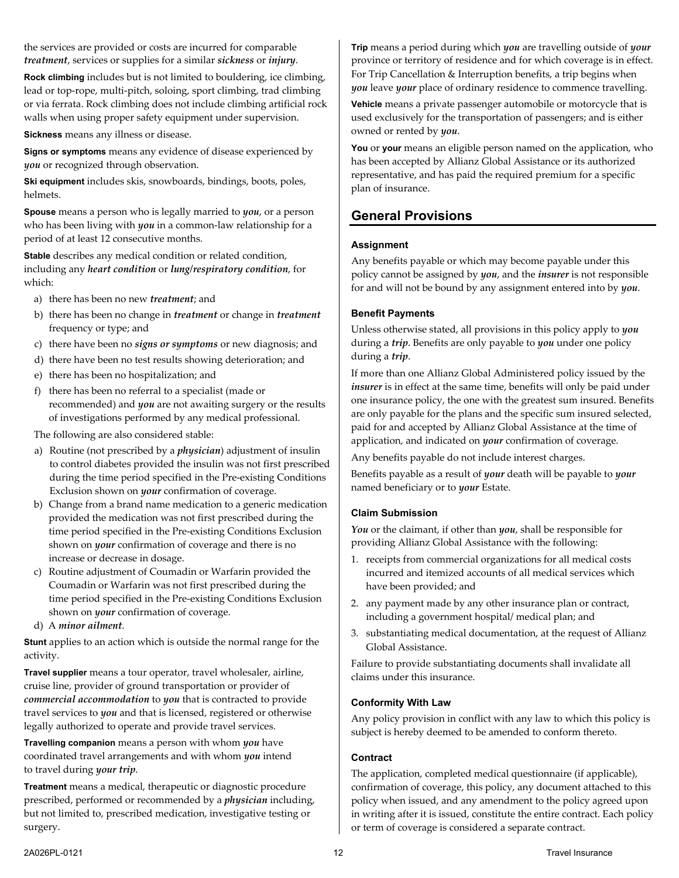the services are provided or costs are incurred for comparable *treatment*, services or supplies for a similar *sickness* or *injury*.

**Rock climbing** includes but is not limited to bouldering, ice climbing, lead or top-rope, multi-pitch, soloing, sport climbing, trad climbing or via ferrata. Rock climbing does not include climbing artificial rock walls when using proper safety equipment under supervision.

**Sickness** means any illness or disease.

**Signs or symptoms** means any evidence of disease experienced by *you* or recognized through observation.

**Ski equipment** includes skis, snowboards, bindings, boots, poles, helmets.

**Spouse** means a person who is legally married to *you*, or a person who has been living with *you* in a common-law relationship for a period of at least 12 consecutive months.

**Stable** describes any medical condition or related condition, including any *heart condition* or *lung/respiratory condition*, for which:

- a) there has been no new *treatment*; and
- b) there has been no change in *treatment* or change in *treatment* frequency or type; and
- c) there have been no *signs or symptoms* or new diagnosis; and
- d) there have been no test results showing deterioration; and
- e) there has been no hospitalization; and
- f) there has been no referral to a specialist (made or recommended) and *you* are not awaiting surgery or the results of investigations performed by any medical professional.
- The following are also considered stable:
- a) Routine (not prescribed by a *physician*) adjustment of insulin to control diabetes provided the insulin was not first prescribed during the time period specified in the Pre-existing Conditions Exclusion shown on *your* confirmation of coverage.
- b) Change from a brand name medication to a generic medication provided the medication was not first prescribed during the time period specified in the Pre-existing Conditions Exclusion shown on *your* confirmation of coverage and there is no increase or decrease in dosage.
- c) Routine adjustment of Coumadin or Warfarin provided the Coumadin or Warfarin was not first prescribed during the time period specified in the Pre-existing Conditions Exclusion shown on *your* confirmation of coverage.
- d) A *minor ailment*.

**Stunt** applies to an action which is outside the normal range for the activity.

**Travel supplier** means a tour operator, travel wholesaler, airline, cruise line, provider of ground transportation or provider of *commercial accommodation* to *you* that is contracted to provide travel services to *you* and that is licensed, registered or otherwise legally authorized to operate and provide travel services.

**Travelling companion** means a person with whom *you* have coordinated travel arrangements and with whom *you* intend to travel during *your trip*.

**Treatment** means a medical, therapeutic or diagnostic procedure prescribed, performed or recommended by a *physician* including, but not limited to, prescribed medication, investigative testing or surgery.

**Trip** means a period during which *you* are travelling outside of *your* province or territory of residence and for which coverage is in effect. For Trip Cancellation & Interruption benefits, a trip begins when *you* leave *your* place of ordinary residence to commence travelling.

**Vehicle** means a private passenger automobile or motorcycle that is used exclusively for the transportation of passengers; and is either owned or rented by *you*.

**You** or **your** means an eligible person named on the application, who has been accepted by Allianz Global Assistance or its authorized representative, and has paid the required premium for a specific plan of insurance.

## <span id="page-11-0"></span>**General Provisions**

#### **Assignment**

Any benefits payable or which may become payable under this policy cannot be assigned by *you*, and the *insurer* is not responsible for and will not be bound by any assignment entered into by *you*.

#### **Benefit Payments**

Unless otherwise stated, all provisions in this policy apply to *you*  during a *trip*. Benefits are only payable to *you* under one policy during a *trip*.

If more than one Allianz Global Administered policy issued by the *insurer* is in effect at the same time, benefits will only be paid under one insurance policy, the one with the greatest sum insured. Benefits are only payable for the plans and the specific sum insured selected, paid for and accepted by Allianz Global Assistance at the time of application, and indicated on *your* confirmation of coverage.

Any benefits payable do not include interest charges.

Benefits payable as a result of *your* death will be payable to *your* named beneficiary or to *your* Estate.

#### **Claim Submission**

*You* or the claimant, if other than *you*, shall be responsible for providing Allianz Global Assistance with the following:

- 1. receipts from commercial organizations for all medical costs incurred and itemized accounts of all medical services which have been provided; and
- 2. any payment made by any other insurance plan or contract, including a government hospital/ medical plan; and
- 3. substantiating medical documentation, at the request of Allianz Global Assistance.

Failure to provide substantiating documents shall invalidate all claims under this insurance.

#### **Conformity With Law**

Any policy provision in conflict with any law to which this policy is subject is hereby deemed to be amended to conform thereto.

#### **Contract**

The application, completed medical questionnaire (if applicable), confirmation of coverage, this policy, any document attached to this policy when issued, and any amendment to the policy agreed upon in writing after it is issued, constitute the entire contract. Each policy or term of coverage is considered a separate contract.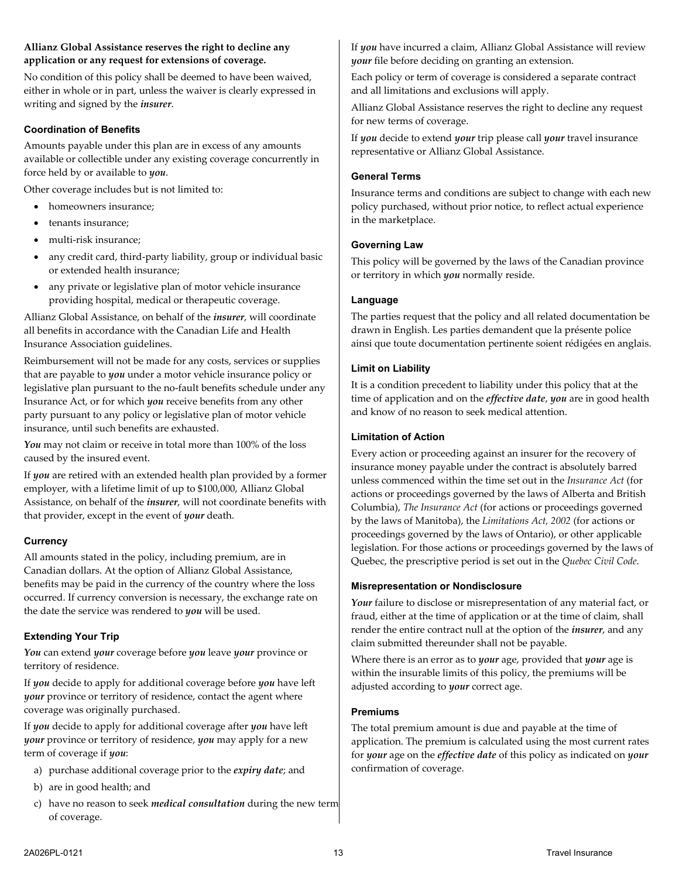#### **Allianz Global Assistance reserves the right to decline any application or any request for extensions of coverage.**

No condition of this policy shall be deemed to have been waived, either in whole or in part, unless the waiver is clearly expressed in writing and signed by the *insurer*.

#### **Coordination of Benefits**

Amounts payable under this plan are in excess of any amounts available or collectible under any existing coverage concurrently in force held by or available to *you*.

Other coverage includes but is not limited to:

- homeowners insurance;
- tenants insurance;
- multi-risk insurance;
- any credit card, third-party liability, group or individual basic or extended health insurance;
- any private or legislative plan of motor vehicle insurance providing hospital, medical or therapeutic coverage.

Allianz Global Assistance, on behalf of the *insurer*, will coordinate all benefits in accordance with the Canadian Life and Health Insurance Association guidelines.

Reimbursement will not be made for any costs, services or supplies that are payable to *you* under a motor vehicle insurance policy or legislative plan pursuant to the no-fault benefits schedule under any Insurance Act, or for which *you* receive benefits from any other party pursuant to any policy or legislative plan of motor vehicle insurance, until such benefits are exhausted.

*You* may not claim or receive in total more than 100% of the loss caused by the insured event.

If *you* are retired with an extended health plan provided by a former employer, with a lifetime limit of up to \$100,000, Allianz Global Assistance, on behalf of the *insurer*, will not coordinate benefits with that provider, except in the event of *your* death.

#### **Currency**

All amounts stated in the policy, including premium, are in Canadian dollars. At the option of Allianz Global Assistance, benefits may be paid in the currency of the country where the loss occurred. If currency conversion is necessary, the exchange rate on the date the service was rendered to *you* will be used.

#### <span id="page-12-0"></span>**Extending Your Trip**

*You* can extend *your* coverage before *you* leave *your* province or territory of residence.

If *you* decide to apply for additional coverage before *you* have left *your* province or territory of residence, contact the agent where coverage was originally purchased.

If *you* decide to apply for additional coverage after *you* have left *your* province or territory of residence, *you* may apply for a new term of coverage if *you*:

- a) purchase additional coverage prior to the *expiry date*; and
- b) are in good health; and
- c) have no reason to seek *medical consultation* during the new term of coverage.

If *you* have incurred a claim, Allianz Global Assistance will review *your* file before deciding on granting an extension.

Each policy or term of coverage is considered a separate contract and all limitations and exclusions will apply.

Allianz Global Assistance reserves the right to decline any request for new terms of coverage.

If *you* decide to extend *your* trip please call *your* travel insurance representative or Allianz Global Assistance.

#### **General Terms**

Insurance terms and conditions are subject to change with each new policy purchased, without prior notice, to reflect actual experience in the marketplace.

#### **Governing Law**

This policy will be governed by the laws of the Canadian province or territory in which *you* normally reside.

#### **Language**

The parties request that the policy and all related documentation be drawn in English. Les parties demandent que la présente police ainsi que toute documentation pertinente soient rédigées en anglais.

#### **Limit on Liability**

It is a condition precedent to liability under this policy that at the time of application and on the *effective date*, *you* are in good health and know of no reason to seek medical attention.

#### **Limitation of Action**

Every action or proceeding against an insurer for the recovery of insurance money payable under the contract is absolutely barred unless commenced within the time set out in the *Insurance Act* (for actions or proceedings governed by the laws of Alberta and British Columbia), *The Insurance Act* (for actions or proceedings governed by the laws of Manitoba), the *Limitations Act, 2002* (for actions or proceedings governed by the laws of Ontario), or other applicable legislation. For those actions or proceedings governed by the laws of Quebec, the prescriptive period is set out in the *Quebec Civil Code*.

#### **Misrepresentation or Nondisclosure**

Your failure to disclose or misrepresentation of any material fact, or fraud, either at the time of application or at the time of claim, shall render the entire contract null at the option of the *insurer*, and any claim submitted thereunder shall not be payable.

Where there is an error as to *your* age, provided that *your* age is within the insurable limits of this policy, the premiums will be adjusted according to *your* correct age.

#### **Premiums**

The total premium amount is due and payable at the time of application. The premium is calculated using the most current rates for *your* age on the *effective date* of this policy as indicated on *your* confirmation of coverage.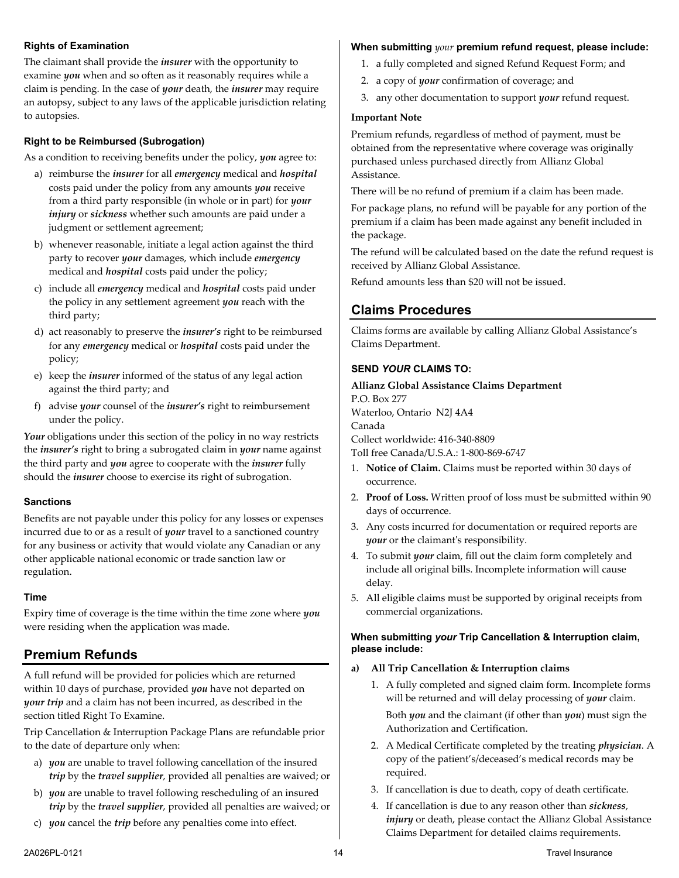#### **Rights of Examination**

The claimant shall provide the *insurer* with the opportunity to examine *you* when and so often as it reasonably requires while a claim is pending. In the case of *your* death, the *insurer* may require an autopsy, subject to any laws of the applicable jurisdiction relating to autopsies.

## **Right to be Reimbursed (Subrogation)**

As a condition to receiving benefits under the policy, *you* agree to:

- a) reimburse the *insurer* for all *emergency* medical and *hospital* costs paid under the policy from any amounts *you* receive from a third party responsible (in whole or in part) for *your injury* or *sickness* whether such amounts are paid under a judgment or settlement agreement;
- b) whenever reasonable, initiate a legal action against the third party to recover *your* damages, which include *emergency* medical and *hospital* costs paid under the policy;
- c) include all *emergency* medical and *hospital* costs paid under the policy in any settlement agreement *you* reach with the third party;
- d) act reasonably to preserve the *insurer's* right to be reimbursed for any *emergency* medical or *hospital* costs paid under the policy;
- e) keep the *insurer* informed of the status of any legal action against the third party; and
- f) advise *your* counsel of the *insurer's* right to reimbursement under the policy.

Your obligations under this section of the policy in no way restricts the *insurer's* right to bring a subrogated claim in *your* name against the third party and *you* agree to cooperate with the *insurer* fully should the *insurer* choose to exercise its right of subrogation.

#### **Sanctions**

Benefits are not payable under this policy for any losses or expenses incurred due to or as a result of *your* travel to a sanctioned country for any business or activity that would violate any Canadian or any other applicable national economic or trade sanction law or regulation.

#### **Time**

Expiry time of coverage is the time within the time zone where *you* were residing when the application was made.

# <span id="page-13-0"></span>**Premium Refunds**

A full refund will be provided for policies which are returned within 10 days of purchase, provided *you* have not departed on *your trip* and a claim has not been incurred, as described in the section titled Right To Examine.

Trip Cancellation & Interruption Package Plans are refundable prior to the date of departure only when:

- a) *you* are unable to travel following cancellation of the insured *trip* by the *travel supplier*, provided all penalties are waived; or
- b) *you* are unable to travel following rescheduling of an insured *trip* by the *travel supplier*, provided all penalties are waived; or
- c) *you* cancel the *trip* before any penalties come into effect.

# **When submitting** *your* **premium refund request, please include:**

- 1. a fully completed and signed Refund Request Form; and
- 2. a copy of *your* confirmation of coverage; and
- 3. any other documentation to support *your* refund request.

#### **Important Note**

Premium refunds, regardless of method of payment, must be obtained from the representative where coverage was originally purchased unless purchased directly from Allianz Global Assistance.

There will be no refund of premium if a claim has been made.

For package plans, no refund will be payable for any portion of the premium if a claim has been made against any benefit included in the package.

The refund will be calculated based on the date the refund request is received by Allianz Global Assistance.

<span id="page-13-1"></span>Refund amounts less than \$20 will not be issued.

# **Claims Procedures**

Claims forms are available by calling Allianz Global Assistance's Claims Department.

## **SEND** *YOUR* **CLAIMS TO:**

## **Allianz Global Assistance Claims Department** P.O. Box 277 Waterloo, Ontario N2J 4A4 Canada Collect worldwide: 416-340-8809 Toll free Canada/U.S.A.: 1-800-869-6747

- 1. **Notice of Claim.** Claims must be reported within 30 days of occurrence.
- 2. **Proof of Loss.** Written proof of loss must be submitted within 90 days of occurrence.
- 3. Any costs incurred for documentation or required reports are *your* or the claimant's responsibility.
- 4. To submit *your* claim, fill out the claim form completely and include all original bills. Incomplete information will cause delay.
- 5. All eligible claims must be supported by original receipts from commercial organizations.

#### **When submitting** *your* **Trip Cancellation & Interruption claim, please include:**

## **a) All Trip Cancellation & Interruption claims**

- 1. A fully completed and signed claim form. Incomplete forms will be returned and will delay processing of *your* claim. Both *you* and the claimant (if other than *you*) must sign the Authorization and Certification.
- 2. A Medical Certificate completed by the treating *physician*. A copy of the patient's/deceased's medical records may be required.
- 3. If cancellation is due to death, copy of death certificate.
- 4. If cancellation is due to any reason other than *sickness*, *injury* or death, please contact the Allianz Global Assistance Claims Department for detailed claims requirements.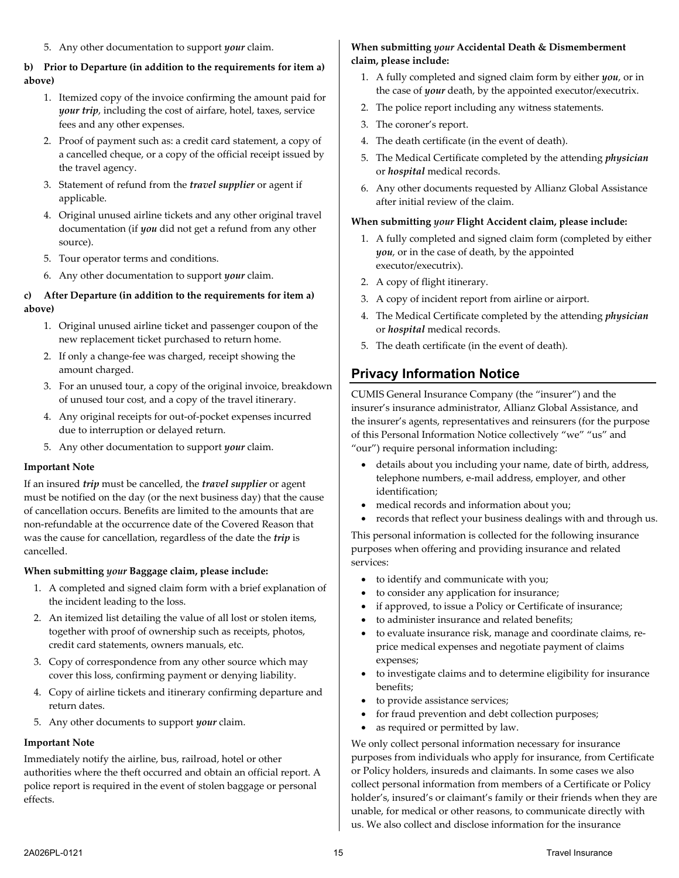5. Any other documentation to support *your* claim.

#### **b) Prior to Departure (in addition to the requirements for item a) above)**

- 1. Itemized copy of the invoice confirming the amount paid for *your trip*, including the cost of airfare, hotel, taxes, service fees and any other expenses.
- 2. Proof of payment such as: a credit card statement, a copy of a cancelled cheque, or a copy of the official receipt issued by the travel agency.
- 3. Statement of refund from the *travel supplier* or agent if applicable.
- 4. Original unused airline tickets and any other original travel documentation (if *you* did not get a refund from any other source).
- 5. Tour operator terms and conditions.
- 6. Any other documentation to support *your* claim.

#### **c) After Departure (in addition to the requirements for item a) above)**

- 1. Original unused airline ticket and passenger coupon of the new replacement ticket purchased to return home.
- 2. If only a change-fee was charged, receipt showing the amount charged.
- 3. For an unused tour, a copy of the original invoice, breakdown of unused tour cost, and a copy of the travel itinerary.
- 4. Any original receipts for out-of-pocket expenses incurred due to interruption or delayed return.
- 5. Any other documentation to support *your* claim.

#### **Important Note**

If an insured *trip* must be cancelled, the *travel supplier* or agent must be notified on the day (or the next business day) that the cause of cancellation occurs. Benefits are limited to the amounts that are non-refundable at the occurrence date of the Covered Reason that was the cause for cancellation, regardless of the date the *trip* is cancelled.

#### **When submitting** *your* **Baggage claim, please include:**

- 1. A completed and signed claim form with a brief explanation of the incident leading to the loss.
- 2. An itemized list detailing the value of all lost or stolen items, together with proof of ownership such as receipts, photos, credit card statements, owners manuals, etc.
- 3. Copy of correspondence from any other source which may cover this loss, confirming payment or denying liability.
- 4. Copy of airline tickets and itinerary confirming departure and return dates.
- 5. Any other documents to support *your* claim.

#### **Important Note**

Immediately notify the airline, bus, railroad, hotel or other authorities where the theft occurred and obtain an official report. A police report is required in the event of stolen baggage or personal effects.

#### **When submitting** *your* **Accidental Death & Dismemberment claim, please include:**

- 1. A fully completed and signed claim form by either *you*, or in the case of *your* death, by the appointed executor/executrix.
- 2. The police report including any witness statements.
- 3. The coroner's report.
- 4. The death certificate (in the event of death).
- 5. The Medical Certificate completed by the attending *physician* or *hospital* medical records.
- 6. Any other documents requested by Allianz Global Assistance after initial review of the claim.

#### **When submitting** *your* **Flight Accident claim, please include:**

- 1. A fully completed and signed claim form (completed by either *you*, or in the case of death, by the appointed executor/executrix).
- 2. A copy of flight itinerary.
- 3. A copy of incident report from airline or airport.
- 4. The Medical Certificate completed by the attending *physician* or *hospital* medical records.
- <span id="page-14-0"></span>5. The death certificate (in the event of death).

# **Privacy Information Notice**

CUMIS General Insurance Company (the "insurer") and the insurer's insurance administrator, Allianz Global Assistance, and the insurer's agents, representatives and reinsurers (for the purpose of this Personal Information Notice collectively "we" "us" and "our") require personal information including:

- details about you including your name, date of birth, address, telephone numbers, e-mail address, employer, and other identification;
- medical records and information about you;
- records that reflect your business dealings with and through us.

This personal information is collected for the following insurance purposes when offering and providing insurance and related services:

- to identify and communicate with you;
- to consider any application for insurance;
- if approved, to issue a Policy or Certificate of insurance;
- to administer insurance and related benefits;
- to evaluate insurance risk, manage and coordinate claims, reprice medical expenses and negotiate payment of claims expenses;
- to investigate claims and to determine eligibility for insurance benefits;
- to provide assistance services;
- for fraud prevention and debt collection purposes;
- as required or permitted by law.

We only collect personal information necessary for insurance purposes from individuals who apply for insurance, from Certificate or Policy holders, insureds and claimants. In some cases we also collect personal information from members of a Certificate or Policy holder's, insured's or claimant's family or their friends when they are unable, for medical or other reasons, to communicate directly with us. We also collect and disclose information for the insurance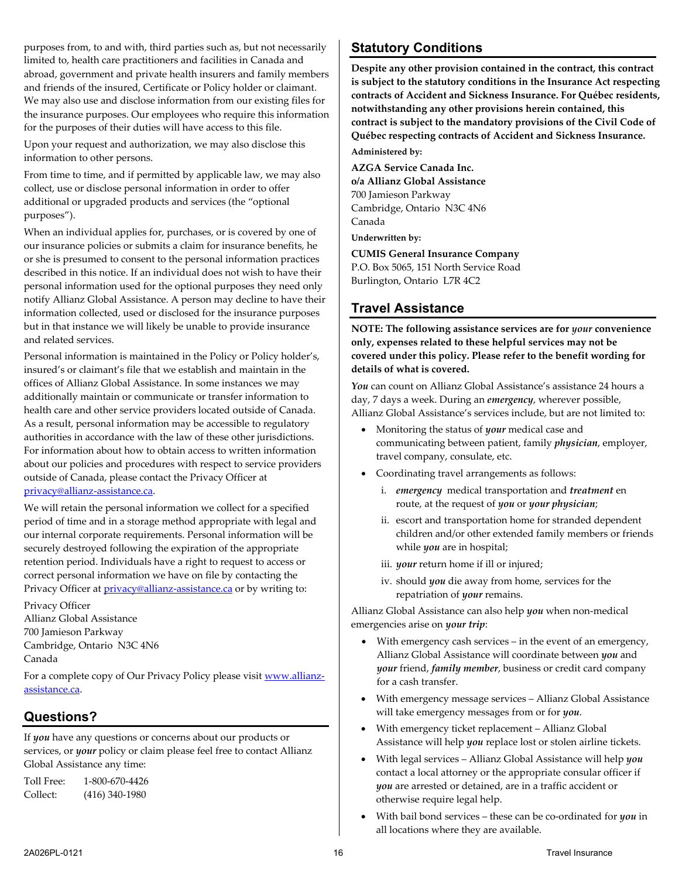purposes from, to and with, third parties such as, but not necessarily limited to, health care practitioners and facilities in Canada and abroad, government and private health insurers and family members and friends of the insured, Certificate or Policy holder or claimant. We may also use and disclose information from our existing files for the insurance purposes. Our employees who require this information for the purposes of their duties will have access to this file.

Upon your request and authorization, we may also disclose this information to other persons.

From time to time, and if permitted by applicable law, we may also collect, use or disclose personal information in order to offer additional or upgraded products and services (the "optional purposes").

When an individual applies for, purchases, or is covered by one of our insurance policies or submits a claim for insurance benefits, he or she is presumed to consent to the personal information practices described in this notice. If an individual does not wish to have their personal information used for the optional purposes they need only notify Allianz Global Assistance. A person may decline to have their information collected, used or disclosed for the insurance purposes but in that instance we will likely be unable to provide insurance and related services.

Personal information is maintained in the Policy or Policy holder's, insured's or claimant's file that we establish and maintain in the offices of Allianz Global Assistance. In some instances we may additionally maintain or communicate or transfer information to health care and other service providers located outside of Canada. As a result, personal information may be accessible to regulatory authorities in accordance with the law of these other jurisdictions. For information about how to obtain access to written information about our policies and procedures with respect to service providers outside of Canada, please contact the Privacy Officer at [privacy@allianz-assistance.ca.](mailto:privacy@allianz-assistance.ca)

We will retain the personal information we collect for a specified period of time and in a storage method appropriate with legal and our internal corporate requirements. Personal information will be securely destroyed following the expiration of the appropriate retention period. Individuals have a right to request to access or correct personal information we have on file by contacting the Privacy Officer at *privacy@allianz-assistance.ca* or by writing to:

Privacy Officer Allianz Global Assistance 700 Jamieson Parkway Cambridge, Ontario N3C 4N6 Canada

For a complete copy of Our Privacy Policy please visi[t www.allianz](http://www.allianz-assistance.ca/)[assistance.ca.](http://www.allianz-assistance.ca/)

# **Questions?**

If *you* have any questions or concerns about our products or services, or *your* policy or claim please feel free to contact Allianz Global Assistance any time:

Toll Free: 1-800-670-4426 Collect: (416) 340-1980

# <span id="page-15-0"></span>**Statutory Conditions**

**Despite any other provision contained in the contract, this contract is subject to the statutory conditions in the Insurance Act respecting contracts of Accident and Sickness Insurance. For Québec residents, notwithstanding any other provisions herein contained, this contract is subject to the mandatory provisions of the Civil Code of Québec respecting contracts of Accident and Sickness Insurance.**

**Administered by:**

**AZGA Service Canada Inc. o/a Allianz Global Assistance** 700 Jamieson Parkway Cambridge, Ontario N3C 4N6 Canada **Underwritten by:**

**CUMIS General Insurance Company**

P.O. Box 5065, 151 North Service Road Burlington, Ontario L7R 4C2

# <span id="page-15-1"></span>**Travel Assistance**

**NOTE: The following assistance services are for** *your* **convenience only, expenses related to these helpful services may not be covered under this policy. Please refer to the benefit wording for details of what is covered.**

*You* can count on Allianz Global Assistance's assistance 24 hours a day, 7 days a week. During an *emergency*, wherever possible, Allianz Global Assistance's services include, but are not limited to:

- Monitoring the status of *your* medical case and communicating between patient, family *physician*, employer, travel company, consulate, etc.
- Coordinating travel arrangements as follows:
	- i. *emergency* medical transportation and *treatment* en route, at the request of *you* or *your physician*;
	- ii. escort and transportation home for stranded dependent children and/or other extended family members or friends while *you* are in hospital;
	- iii. *your* return home if ill or injured;
	- iv. should *you* die away from home, services for the repatriation of *your* remains.

Allianz Global Assistance can also help *you* when non-medical emergencies arise on *your trip*:

- With emergency cash services in the event of an emergency, Allianz Global Assistance will coordinate between *you* and *your* friend, *family member*, business or credit card company for a cash transfer.
- With emergency message services Allianz Global Assistance will take emergency messages from or for *you*.
- With emergency ticket replacement Allianz Global Assistance will help *you* replace lost or stolen airline tickets.
- With legal services Allianz Global Assistance will help *you* contact a local attorney or the appropriate consular officer if *you* are arrested or detained, are in a traffic accident or otherwise require legal help.
- With bail bond services these can be co-ordinated for *you* in all locations where they are available.